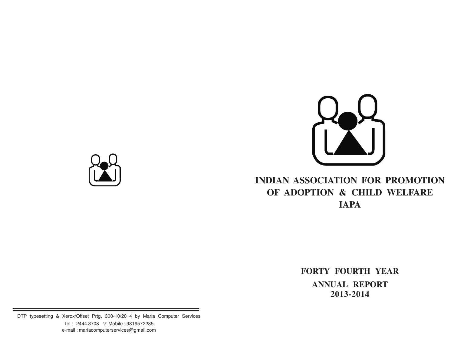

# **INDIAN ASSOCIATION FOR PROMOTION OF ADOPTION & CHILD WELFARE IAPA**

**FORTY FOURTH YEAR ANNUAL REPORT 2013-2014**

DTP typesetting & Xerox/Offset Prtg. 300-10/2014 by Maria Computer Services Tel : 2444 3708 <sup>v</sup> Mobile : 9819572285 e-mail : mariacomputerservices@gmail.com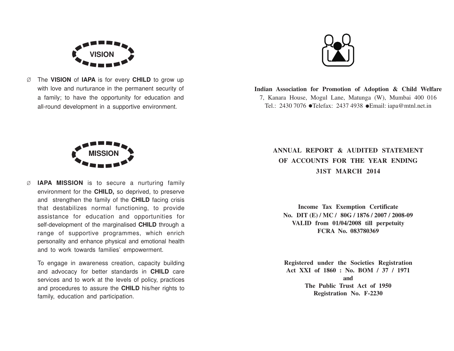

Ø The **VISION** of **IAPA** is for every **CHILD** to grow up with love and nurturance in the permanent security of a family; to have the opportunity for education and all-round development in a supportive environment.



**Indian Association for Promotion of Adoption & Child Welfare** 7, Kanara House, Mogul Lane, Matunga (W), Mumbai 400 016

Tel.: 2430 7076 ●Telefax: 2437 4938 ●Email: iapa@mtnl.net.in



Ø **IAPA MISSION** is to secure a nurturing family environment for the **CHILD,** so deprived, to preserve and strengthen the family of the **CHILD** facing crisis that destabilizes normal functioning, to provide assistance for education and opportunities for self-development of the marginalised **CHILD** through a range of supportive programmes, which enrich personality and enhance physical and emotional health and to work towards families' empowerment.

To engage in awareness creation, capacity building and advocacy for better standards in **CHILD** care services and to work at the levels of policy, practices and procedures to assure the **CHILD** his/her rights to family, education and participation.

**ANNUAL REPORT & AUDITED STATEMENT OF ACCOUNTS FOR THE YEAR ENDING 31ST MARCH 2014**

**Income Tax Exemption Certificate No. DIT (E) / MC / 80G / 1876 / 2007 / 2008-09 VALID from 01/04/2008 till perpetuity FCRA No. 083780369**

**Registered under the Societies Registration Act XXI of 1860 : No. BOM / 37 / 1971 and The Public Trust Act of 1950 Registration No. F-2230**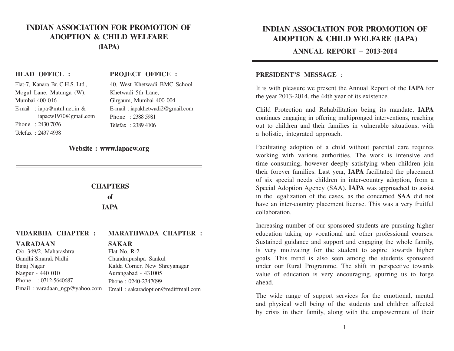# **INDIAN ASSOCIATION FOR PROMOTION OF ADOPTION & CHILD WELFARE (IAPA)**

#### **HEAD OFFICE :**

#### **PROJECT OFFICE :**

| Flat-7, Kanara Br. C.H.S. Ltd., |
|---------------------------------|
| Mogul Lane, Matunga (W),        |
| Mumbai 400 016                  |
| E-mail: iapa@mtnl.net.in $&$    |
| iapacw1970@gmail.com            |
| Phone: 2430 7076                |
| Telefax: 2437 4938              |

40, West Khetwadi BMC School Khetwadi 5th Lane, Girgaum, Mumbai 400 004 E-mail : iapakhetwadi2@gmail.com Phone : 2388 5981 Telefax : 2389 4106

#### **Website : www.iapacw.org**

#### **CHAPTERS**

**of**

**IAPA**

#### **VIDARBHA CHAPTER : MARATHWADA CHAPTER :**

#### **VARADAAN**

Bajaj Nagar Nagpur - 440 010

Gandhi Smarak Nidhi

### **SAKAR**

C/o. 349/2, Maharashtra Phone : 0712-5640687 Email : varadaan\_ngp@yahoo.com Flat No. R-2 Chandrapushpa Sankul Kalda Corner, New Shreyanagar Aurangabad - 431005 Phone : 0240-2347099 Email : sakaradoption@rediffmail.com

# **INDIAN ASSOCIATION FOR PROMOTION OF ADOPTION & CHILD WELFARE (IAPA)**

### **ANNUAL REPORT – 2013-2014**

#### **PRESIDENT'S MESSAGE** :

It is with pleasure we present the Annual Report of the **IAPA** for the year 2013-2014, the 44th year of its existence.

Child Protection and Rehabilitation being its mandate, **IAPA** continues engaging in offering multipronged interventions, reaching out to children and their families in vulnerable situations, with a holistic, integrated approach.

Facilitating adoption of a child without parental care requires working with various authorities. The work is intensive and time consuming, however deeply satisfying when children join their forever families. Last year, **IAPA** facilitated the placement of six special needs children in inter-country adoption, from a Special Adoption Agency (SAA). **IAPA** was approached to assist in the legalization of the cases, as the concerned **SAA** did not have an inter-country placement license. This was a very fruitful collaboration.

Increasing number of our sponsored students are pursuing higher education taking up vocational and other professional courses. Sustained guidance and support and engaging the whole family, is very motivating for the student to aspire towards higher goals. This trend is also seen among the students sponsored under our Rural Programme. The shift in perspective towards value of education is very encouraging, spurring us to forge ahead.

The wide range of support services for the emotional, mental and physical well being of the students and children affected by crisis in their family, along with the empowerment of their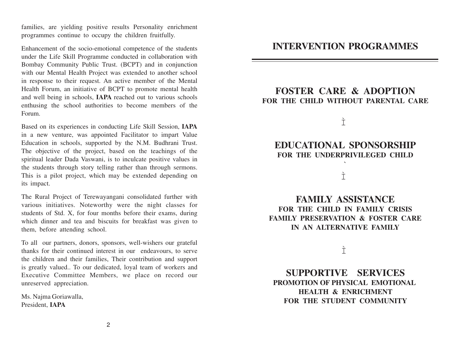families, are yielding positive results Personality enrichment programmes continue to occupy the children fruitfully.

Enhancement of the socio-emotional competence of the students under the Life Skill Programme conducted in collaboration with Bombay Community Public Trust. (BCPT) and in conjunction with our Mental Health Project was extended to another school in response to their request. An active member of the Mental Health Forum, an initiative of BCPT to promote mental health and well being in schools, **IAPA** reached out to various schools enthusing the school authorities to become members of the Forum.

Based on its experiences in conducting Life Skill Session, **IAPA** in a new venture, was appointed Facilitator to impart Value Education in schools, supported by the N.M. Budhrani Trust. The objective of the project, based on the teachings of the spiritual leader Dada Vaswani, is to inculcate positive values in the students through story telling rather than through sermons. This is a pilot project, which may be extended depending on its impact.

The Rural Project of Terewayangani consolidated further with various initiatives. Noteworthy were the night classes for students of Std. X, for four months before their exams, during which dinner and tea and biscuits for breakfast was given to them, before attending school.

To all our partners, donors, sponsors, well-wishers our grateful thanks for their continued interest in our endeavours, to serve the children and their families, Their contribution and support is greatly valued.. To our dedicated, loyal team of workers and Executive Committee Members, we place on record our unreserved appreciation.

Ms. Najma Goriawalla, President, **IAPA**

# **INTERVENTION PROGRAMMES**

# **FOSTER CARE & ADOPTION FOR THE CHILD WITHOUT PARENTAL CARE**

Ì

# **EDUCATIONAL SPONSORSHIP FOR THE UNDERPRIVILEGED CHILD**

**`**

Ì

**FAMILY ASSISTANCE FOR THE CHILD IN FAMILY CRISIS FAMILY PRESERVATION & FOSTER CARE IN AN ALTERNATIVE FAMILY**

Ì

**SUPPORTIVE SERVICES PROMOTION OF PHYSICAL EMOTIONAL HEALTH & ENRICHMENT FOR THE STUDENT COMMUNITY**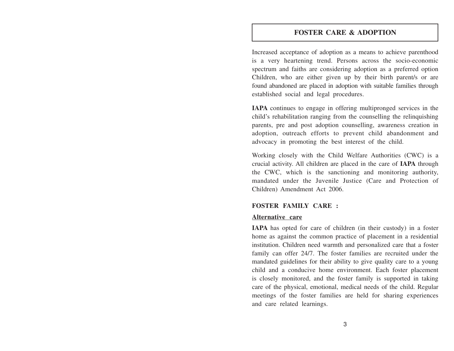#### **FOSTER CARE & ADOPTION**

Increased acceptance of adoption as a means to achieve parenthood is a very heartening trend. Persons across the socio-economic spectrum and faiths are considering adoption as a preferred option Children, who are either given up by their birth parent/s or are found abandoned are placed in adoption with suitable families through established social and legal procedures.

**IAPA** continues to engage in offering multipronged services in the child's rehabilitation ranging from the counselling the relinquishing parents, pre and post adoption counselling, awareness creation in adoption, outreach efforts to prevent child abandonment and advocacy in promoting the best interest of the child.

Working closely with the Child Welfare Authorities (CWC) is a crucial activity. All children are placed in the care of **IAPA** through the CWC, which is the sanctioning and monitoring authority, mandated under the Juvenile Justice (Care and Protection of Children) Amendment Act 2006.

#### **FOSTER FAMILY CARE :**

#### **Alternative care**

**IAPA** has opted for care of children (in their custody) in a foster home as against the common practice of placement in a residential institution. Children need warmth and personalized care that a foster family can offer 24/7. The foster families are recruited under the mandated guidelines for their ability to give quality care to a young child and a conducive home environment. Each foster placement is closely monitored, and the foster family is supported in taking care of the physical, emotional, medical needs of the child. Regular meetings of the foster families are held for sharing experiences and care related learnings.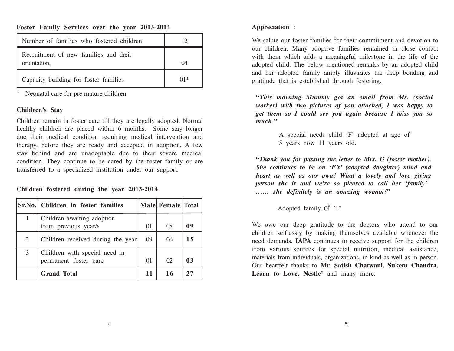**Foster Family Services over the year 2013-2014**

| Number of families who fostered children              |              |
|-------------------------------------------------------|--------------|
| Recruitment of new families and their<br>orientation, | $\mathbf{u}$ |
| Capacity building for foster families                 | ∩1*          |

\* Neonatal care for pre mature children

### **Children's Stay**

Children remain in foster care till they are legally adopted. Normal healthy children are placed within 6 months. Some stay longer due their medical condition requiring medical intervention and therapy, before they are ready and accepted in adoption. A few stay behind and are unadoptable due to their severe medical condition. They continue to be cared by the foster family or are transferred to a specialized institution under our support.

#### **Children fostered during the year 2013-2014**

|   | Sr.No. Children in foster families                     |          | Male Female Total |    |
|---|--------------------------------------------------------|----------|-------------------|----|
|   | Children awaiting adoption<br>from previous year/s     | $\Omega$ | 08                | 09 |
| 2 | Children received during the year                      | $^{09}$  | 06                | 15 |
| 3 | Children with special need in<br>permanent foster care | $\Omega$ | 02                | 03 |
|   | <b>Grand Total</b>                                     | 11       | 16                | 27 |

#### **Appreciation** :

We salute our foster families for their commitment and devotion to our children. Many adoptive families remained in close contact with them which adds a meaningful milestone in the life of the adopted child. The below mentioned remarks by an adopted child and her adopted family amply illustrates the deep bonding and gratitude that is established through fostering.

**"***This morning Mummy got an email from Ms. (social worker) with two pictures of you attached, I was happy to get them so I could see you again because I miss you so much.***"**

> A special needs child 'F' adopted at age of 5 years now 11 years old.

**"***Thank you for passing the letter to Mrs. G (foster mother). She continues to be on 'F's' (adopted daughter) mind and heart as well as our own! What a lovely and love giving person she is and we're so pleased to call her 'family' …… she definitely is an amazing woman!***"**

Adopted family of 'F'

We owe our deep gratitude to the doctors who attend to our children selflessly by making themselves available whenever the need demands. **IAPA** continues to receive support for the children from various sources for special nutrition, medical assistance, materials from individuals, organizations, in kind as well as in person. Our heartfelt thanks to **Mr. Satish Chatwani, Suketu Chandra, Learn to Love, Nestle'** and many more.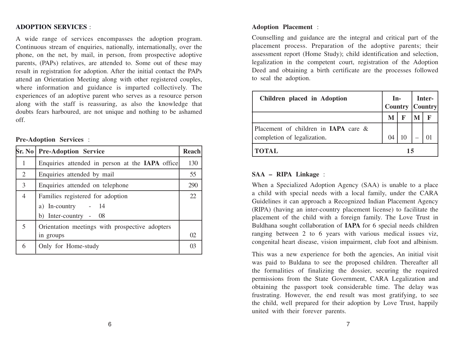#### **ADOPTION SERVICES** :

A wide range of services encompasses the adoption program. Continuous stream of enquiries, nationally, internationally, over the phone, on the net, by mail, in person, from prospective adoptive parents, (PAPs) relatives, are attended to. Some out of these may result in registration for adoption. After the initial contact the PAPs attend an Orientation Meeting along with other registered couples, where information and guidance is imparted collectively. The experiences of an adoptive parent who serves as a resource person along with the staff is reassuring, as also the knowledge that doubts fears harboured, are not unique and nothing to be ashamed off.

#### **Pre-Adoption Services** :

|                | <b>Sr. No   Pre-Adoption Service</b>                   | Reach |
|----------------|--------------------------------------------------------|-------|
| 1              | Enquiries attended in person at the <b>IAPA</b> office | 130   |
| $\overline{2}$ | Enquiries attended by mail                             | 55    |
| $\overline{3}$ | Enquiries attended on telephone                        | 290   |
| $\overline{4}$ | Families registered for adoption                       | 22    |
|                | a) In-country<br>$-14$                                 |       |
|                | b) Inter-country - 08                                  |       |
| 5              | Orientation meetings with prospective adopters         |       |
|                | in groups                                              | 02    |
| 6              | Only for Home-study                                    | 03    |

#### **Adoption Placement** :

Counselling and guidance are the integral and critical part of the placement process. Preparation of the adoptive parents; their assessment report (Home Study); child identification and selection, legalization in the competent court, registration of the Adoption Deed and obtaining a birth certificate are the processes followed to seal the adoption.

| Children placed in Adoption                                         | $In-$<br><b>Country Country</b> |   | Inter- |  |
|---------------------------------------------------------------------|---------------------------------|---|--------|--|
|                                                                     | M                               | F |        |  |
| Placement of children in IAPA care &<br>completion of legalization. | 04                              |   |        |  |
| <b>TOTAL</b>                                                        |                                 |   |        |  |

#### **SAA – RIPA Linkage** :

When a Specialized Adoption Agency (SAA) is unable to a place a child with special needs with a local family, under the CARA Guidelines it can approach a Recognized Indian Placement Agency (RIPA) (having an inter-country placement license) to facilitate the placement of the child with a foreign family. The Love Trust in Buldhana sought collaboration of **IAPA** for 6 special needs children ranging between 2 to 6 years with various medical issues viz, congenital heart disease, vision impairment, club foot and albinism.

This was a new experience for both the agencies, An initial visit was paid to Buldana to see the proposed children. Thereafter all the formalities of finalizing the dossier, securing the required permissions from the State Government, CARA Legalization and obtaining the passport took considerable time. The delay was frustrating. However, the end result was most gratifying, to see the child, well prepared for their adoption by Love Trust, happily united with their forever parents.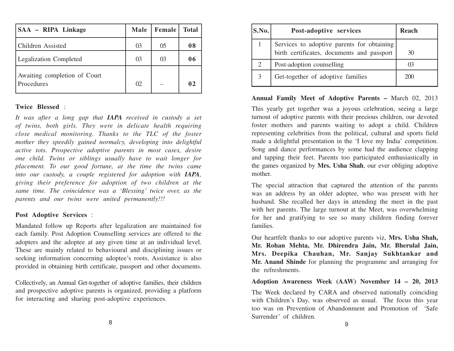| SAA - RIPA Linkage            | <b>Male</b> | Female | <b>Total</b> |
|-------------------------------|-------------|--------|--------------|
| Children Assisted             | 03          | 05     | 08           |
| <b>Legalization Completed</b> | 03          | 03     | 06           |
| Awaiting completion of Court  |             |        |              |
| Procedures                    | 02          |        | 02           |

#### **Twice Blessed** :

*It was after a long gap that IAPA received in custody a set of twins, both girls. They were in delicate health requiring close medical monitoring. Thanks to the TLC of the foster mother they speedily gained normalcy, developing into delightful active tots. Prospective adoptive parents in most cases, desire one child. Twins or siblings usually have to wait longer for placement. To our good fortune, at the time the twins came into our custody, a couple registered for adoption with <i>IAPA*, *giving their preference for adoption of two children at the same time. The coincidence was a 'Blessing' twice over, as the parents and our twins were united permanently!!!*

#### **Post Adoptive Services** :

Mandated follow up Reports after legalization are maintained for each family. Post Adoption Counselling services are offered to the adopters and the adoptee at any given time at an individual level. These are mainly related to behavioural and disciplining issues or seeking information concerning adoptee's roots. Assistance is also provided in obtaining birth certificate, passport and other documents.

Collectively, an Annual Get-together of adoptive families, their children and prospective adoptive parents is organized, providing a platform for interacting and sharing post-adoptive experiences.

| S.No.                       | Post-adoptive services                                                                   | Reach |
|-----------------------------|------------------------------------------------------------------------------------------|-------|
|                             | Services to adoptive parents for obtaining<br>birth certificates, documents and passport | 30    |
| $\mathcal{D}_{\mathcal{L}}$ | Post-adoption counselling                                                                | 03    |
| 3                           | Get-together of adoptive families                                                        | 200   |

#### **Annual Family Meet of Adoptive Parents –** March 02, 2013

This yearly get together was a joyous celebration, seeing a large turnout of adoptive parents with their precious children, our devoted foster mothers and parents waiting to adopt a child. Children representing celebrities from the political, cultural and sports field made a delightful presentation in the 'I love my India' competition. Song and dance performances by some had the audience clapping and tapping their feet. Parents too participated enthusiastically in the games organized by **Mrs. Usha Shah**, our ever obliging adoptive mother.

The special attraction that captured the attention of the parents was an address by an older adoptee, who was present with her husband. She recalled her days in attending the meet in the past with her parents. The large turnout at the Meet, was overwhelming for her and gratifying to see so many children finding forever families.

Our heartfelt thanks to our adoptive parents viz, **Mrs. Usha Shah, Mr. Rohan Mehta, Mr. Dhirendra Jain, Mr. Bherulal Jain, Mrs. Deepika Chauhan, Mr. Sanjay Sukhtankar and Mr. Anand Shinde** for planning the programme and arranging for the refreshments.

#### **Adoption Awareness Week (AAW) November 14 – 20, 2013**

The Week declared by CARA and observed nationally coinciding with Children's Day, was observed as usual. The focus this year too was on Prevention of Abandonment and Promotion of 'Safe Surrender' of children.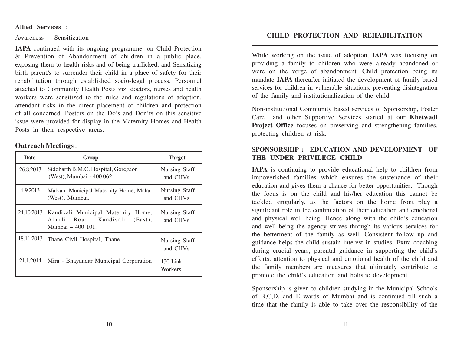#### **Allied Services** :

#### Awareness – Sensitization

**IAPA** continued with its ongoing programme, on Child Protection & Prevention of Abandonment of children in a public place, exposing them to health risks and of being trafficked, and Sensitizing birth parent/s to surrender their child in a place of safety for their rehabilitation through established socio-legal process. Personnel attached to Community Health Posts viz, doctors, nurses and health workers were sensitized to the rules and regulations of adoption, attendant risks in the direct placement of children and protection of all concerned. Posters on the Do's and Don'ts on this sensitive issue were provided for display in the Maternity Homes and Health Posts in their respective areas.

#### **Outreach Meetings** :

| <b>Date</b> | Group                                                                                      | <b>Target</b>             |
|-------------|--------------------------------------------------------------------------------------------|---------------------------|
| 26.8.2013   | Siddharth B.M.C. Hospital, Goregaon<br>(West), Mumbai - 400 062                            | Nursing Staff<br>and CHVs |
| 4.9.2013    | Malvani Municipal Maternity Home, Malad<br>(West), Mumbai.                                 | Nursing Staff<br>and CHVs |
| 24.10.2013  | Kandivali Municipal Maternity Home,<br>Akurli Road, Kandivali (East),<br>Mumbai - 400 101. | Nursing Staff<br>and CHVs |
| 18.11.2013  | Thane Civil Hospital, Thane                                                                | Nursing Staff<br>and CHVs |
| 21.1.2014   | Mira - Bhayandar Municipal Corporation                                                     | $130$ Link<br>Workers     |

# **CHILD PROTECTION AND REHABILITATION**

While working on the issue of adoption, **IAPA** was focusing on providing a family to children who were already abandoned or were on the verge of abandonment. Child protection being its mandate **IAPA** thereafter initiated the development of family based services for children in vulnerable situations, preventing disintegration of the family and institutionalization of the child.

Non-institutional Community based services of Sponsorship, Foster Care and other Supportive Services started at our **Khetwadi Project Office** focuses on preserving and strengthening families, protecting children at risk.

### **SPONSORSHIP : EDUCATION AND DEVELOPMENT OF THE UNDER PRIVILEGE CHILD**

**IAPA** is continuing to provide educational help to children from impoverished families which ensures the sustenance of their education and gives them a chance for better opportunities. Though the focus is on the child and his/her education this cannot be tackled singularly, as the factors on the home front play a significant role in the continuation of their education and emotional and physical well being. Hence along with the child's education and well being the agency strives through its various services for the betterment of the family as well. Consistent follow up and guidance helps the child sustain interest in studies. Extra coaching during crucial years, parental guidance in supporting the child's efforts, attention to physical and emotional health of the child and the family members are measures that ultimately contribute to promote the child's education and holistic development.

Sponsorship is given to children studying in the Municipal Schools of B,C,D, and E wards of Mumbai and is continued till such a time that the family is able to take over the responsibility of the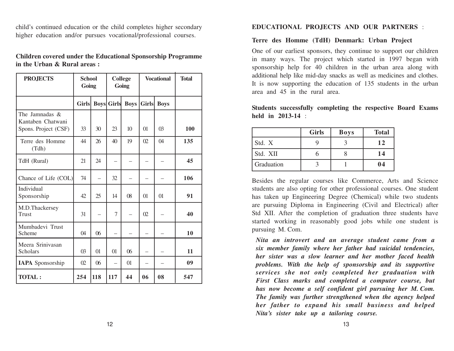child's continued education or the child completes higher secondary higher education and/or pursues vocational/professional courses.

### **Children covered under the Educational Sponsorship Programme in the Urban & Rural areas :**

| <b>PROJECTS</b>                                             | <b>School</b><br>Going |          |                          | College<br>Going |              | <b>Vocational</b> | <b>Total</b> |
|-------------------------------------------------------------|------------------------|----------|--------------------------|------------------|--------------|-------------------|--------------|
|                                                             | <b>Girls</b>           |          | <b>Boys Girls</b>        | <b>Boys</b>      | <b>Girls</b> | <b>Boys</b>       |              |
| The Jamnadas &<br>Kantaben Chatwani<br>Spons. Project (CSF) | 33                     | 30       | 23                       | 10               | $\Omega$     | $\Omega$          | 100          |
| Terre des Homme<br>(Tdh)                                    | 44                     | 26       | 40                       | 19               | 02           | $\Omega$          | 135          |
| TdH (Rural)                                                 | 21                     | 24       | $\overline{\phantom{0}}$ |                  |              |                   | 45           |
| Chance of Life (COL)                                        | 74                     | $\equiv$ | 32                       |                  |              |                   | 106          |
| Individual<br>Sponsorship                                   | 42                     | 25       | 14                       | 08               | 01           | 01                | 91           |
| M.D.Thackersey<br>Trust                                     | 31                     |          | 7                        |                  | 02           |                   | 40           |
| Mumbadevi Trust<br>Scheme                                   | $\Omega$               | 06       |                          |                  |              |                   | 10           |
| Meera Srinivasan<br><b>Scholars</b>                         | $\overline{03}$        | $_{01}$  | 01                       | 06               |              |                   | 11           |
| <b>IAPA</b> Sponsorship                                     | $\Omega$               | 06       | $\equiv$                 | $\Omega$         |              |                   | 09           |
| <b>TOTAL:</b>                                               | 254                    | 118      | 117                      | 44               | 06           | 08                | 547          |

#### **EDUCATIONAL PROJECTS AND OUR PARTNERS** :

#### **Terre des Homme (TdH) Denmark: Urban Project**

One of our earliest sponsors, they continue to support our children in many ways. The project which started in 1997 began with sponsorship help for 40 children in the urban area along with additional help like mid-day snacks as well as medicines and clothes. It is now supporting the education of 135 students in the urban area and 45 in the rural area.

**Students successfully completing the respective Board Exams held in 2013-14** :

|            | <b>Girls</b> | <b>Boys</b> | <b>Total</b> |
|------------|--------------|-------------|--------------|
| Std. X     |              |             | 12           |
| Std. XII   |              |             | 14           |
| Graduation |              |             | 04           |

Besides the regular courses like Commerce, Arts and Science students are also opting for other professional courses. One student has taken up Engineering Degree (Chemical) while two students are pursuing Diploma in Engineering (Civil and Electrical) after Std XII. After the completion of graduation three students have started working in reasonably good jobs while one student is pursuing M. Com.

*Nita an introvert and an average student came from a six member family where her father had suicidal tendencies, her sister was a slow learner and her mother faced health problems. With the help of sponsorship and its supportive services she not only completed her graduation with First Class marks and completed a computer course, but has now become a self confident girl pursuing her M. Com. The family was further strengthened when the agency helped her father to expand his small business and helped Nita's sister take up a tailoring course.*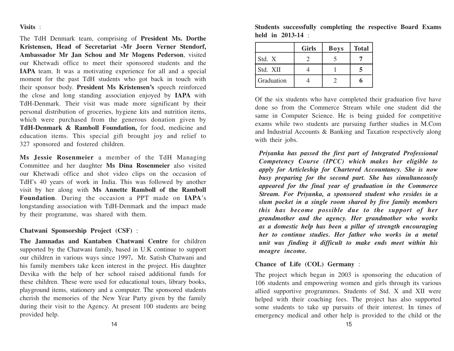**Visits** :

The TdH Denmark team, comprising of **President Ms. Dorthe Kristensen, Head of Secretariat -Mr Joern Verner Stendorf, Ambassador Mr Jan Schou and Mr Mogens Pederson**, visited our Khetwadi office to meet their sponsored students and the **IAPA** team. It was a motivating experience for all and a special moment for the past TdH students who got back in touch with their sponsor body. **President Ms Kristensen's** speech reinforced the close and long standing association enjoyed by **IAPA** with TdH-Denmark. Their visit was made more significant by their personal distribution of groceries, hygiene kits and nutrition items, which were purchased from the generous donation given by **TdH-Denmark & Ramboll Foundation,** for food, medicine and education items. This special gift brought joy and relief to 327 sponsored and fostered children.

**Ms Jessie Rosenmeier** a member of the TdH Managing Committee and her daughter **Ms Dina Rosenmeier** also visited our Khetwadi office and shot video clips on the occasion of TdH's 40 years of work in India. This was followed by another visit by her along with **Ms Annette Ramboll of the Ramboll Foundation**. During the occasion a PPT made on **IAPA**'s longstanding association with TdH-Denmark and the impact made by their programme, was shared with them.

**Chatwani Sponsorship Project (CSF)** :

**The Jamnadas and Kantaben Chatwani Centre** for children supported by the Chatwani family, based in U.K continue to support our children in various ways since 1997**.** Mr. Satish Chatwani and his family members take keen interest in the project. His daughter Devika with the help of her school raised additional funds for these children. These were used for educational tours, library books, playground items, stationery and a computer. The sponsored students cherish the memories of the New Year Party given by the family during their visit to the Agency. At present 100 students are being provided help.

|            | <b>Girls</b> | <b>Boys</b> | <b>Total</b> |
|------------|--------------|-------------|--------------|
| Std. X     |              |             |              |
| Std. XII   |              |             |              |
| Graduation |              |             |              |

**Students successfully completing the respective Board Exams held in 2013-14** :

Of the six students who have completed their graduation five have done so from the Commerce Stream while one student did the same in Computer Science. He is being guided for competitive exams while two students are pursuing further studies in M.Com and Industrial Accounts & Banking and Taxation respectively along with their jobs.

*Priyanka has passed the first part of Integrated Professional Competency Course (IPCC) which makes her eligible to apply for Articleship for Chartered Accountancy. She is now busy preparing for the second part. She has simultaneously appeared for the final year of graduation in the Commerce Stream. For Priyanka, a sponsored student who resides in a slum pocket in a single room shared by five family members this has become possible due to the support of her grandmother and the agency. Her grandmother who works as a domestic help has been a pillar of strength encouraging her to continue studies. Her father who works in a metal unit was finding it difficult to make ends meet within his meagre income.*

### **Chance of Life (COL) Germany** :

The project which began in 2003 is sponsoring the education of 106 students and empowering women and girls through its various allied supportive programmes. Students of Std. X and XII were helped with their coaching fees. The project has also supported some students to take up pursuits of their interest. In times of emergency medical and other help is provided to the child or the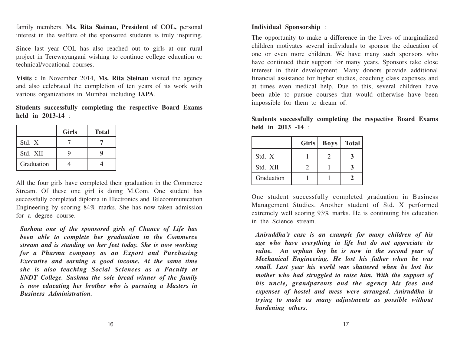family members. **Ms. Rita Steinau, President of COL,** personal interest in the welfare of the sponsored students is truly inspiring.

Since last year COL has also reached out to girls at our rural project in Terewayangani wishing to continue college education or technical/vocational courses.

**Visits :** In November 2014, **Ms. Rita Steinau** visited the agency and also celebrated the completion of ten years of its work with various organizations in Mumbai including **IAPA**.

**Students successfully completing the respective Board Exams held in 2013-14** :

|            | <b>Girls</b> | <b>Total</b> |
|------------|--------------|--------------|
| Std. X     |              |              |
| Std. XII   |              |              |
| Graduation |              |              |

All the four girls have completed their graduation in the Commerce Stream. Of these one girl is doing M.Com. One student has successfully completed diploma in Electronics and Telecommunication Engineering by scoring 84% marks. She has now taken admission for a degree course.

*Sushma one of the sponsored girls of Chance of Life has been able to complete her graduation in the Commerce stream and is standing on her feet today. She is now working for a Pharma company as an Export and Purchasing Executive and earning a good income. At the same time she is also teaching Social Sciences as a Faculty at SNDT College. Sushma the sole bread winner of the family is now educating her brother who is pursuing a Masters in Business Administration.*

**Individual Sponsorship** :

The opportunity to make a difference in the lives of marginalized children motivates several individuals to sponsor the education of one or even more children. We have many such sponsors who have continued their support for many years. Sponsors take close interest in their development. Many donors provide additional financial assistance for higher studies, coaching class expenses and at times even medical help. Due to this, several children have been able to pursue courses that would otherwise have been impossible for them to dream of.

**Students successfully completing the respective Board Exams held in 2013 -14** :

|            | Girls | <b>Boys</b> | <b>Total</b> |
|------------|-------|-------------|--------------|
| Std. X     |       |             |              |
| Std. XII   |       |             |              |
| Graduation |       |             |              |

One student successfully completed graduation in Business Management Studies. Another student of Std. X performed extremely well scoring 93% marks. He is continuing his education in the Science stream.

*Aniruddha's case is an example for many children of his age who have everything in life but do not appreciate its value. An orphan boy he is now in the second year of Mechanical Engineering. He lost his father when he was small. Last year his world was shattered when he lost his mother who had struggled to raise him. With the support of his uncle, grandparents and the agency his fees and expenses of hostel and mess were arranged. Aniruddha is trying to make as many adjustments as possible without burdening others.*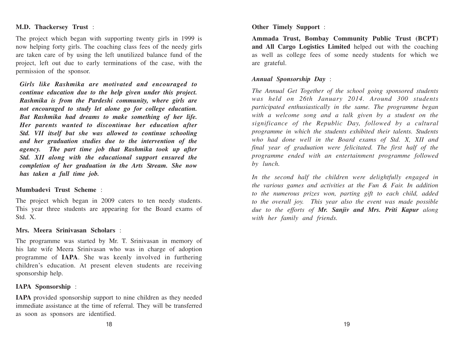#### **M.D. Thackersey Trust** :

The project which began with supporting twenty girls in 1999 is now helping forty girls. The coaching class fees of the needy girls are taken care of by using the left unutilized balance fund of the project, left out due to early terminations of the case, with the permission of the sponsor.

*Girls like Rashmika are motivated and encouraged to continue education due to the help given under this project. Rashmika is from the Pardeshi community, where girls are not encouraged to study let alone go for college education. But Rashmika had dreams to make something of her life. Her parents wanted to discontinue her education after Std. VII itself but she was allowed to continue schooling and her graduation studies due to the intervention of the agency. The part time job that Rashmika took up after Std. XII along with the educational support ensured the completion of her graduation in the Arts Stream. She now has taken a full time job.*

#### **Mumbadevi Trust Scheme** :

The project which began in 2009 caters to ten needy students. This year three students are appearing for the Board exams of Std. X.

#### **Mrs. Meera Srinivasan Scholars** :

The programme was started by Mr. T. Srinivasan in memory of his late wife Meera Srinivasan who was in charge of adoption programme of **IAPA**. She was keenly involved in furthering children's education. At present eleven students are receiving sponsorship help.

#### **IAPA Sponsorship** :

**IAPA** provided sponsorship support to nine children as they needed immediate assistance at the time of referral. They will be transferred as soon as sponsors are identified.

**Other Timely Support** :

**Ammada Trust, Bombay Community Public Trust (BCPT) and All Cargo Logistics Limited** helped out with the coaching as well as college fees of some needy students for which we are grateful.

#### *Annual Sponsorship Day* :

*The Annual Get Together of the school going sponsored students was held on 26th January 2014. Around 300 students participated enthusiastically in the same. The programme began with a welcome song and a talk given by a student on the significance of the Republic Day, followed by a cultural programme in which the students exhibited their talents. Students who had done well in the Board exams of Std. X, XII and final year of graduation were felicitated. The first half of the programme ended with an entertainment programme followed by lunch.*

*In the second half the children were delightfully engaged in the various games and activities at the Fun & Fair. In addition to the numerous prizes won, parting gift to each child, added to the overall joy. This year also the event was made possible due to the efforts of Mr. Sanjiv and Mrs. Priti Kapur along with her family and friends.*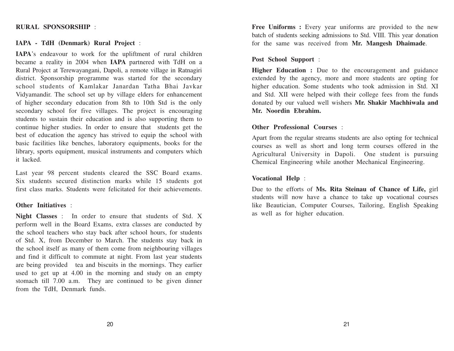#### **RURAL SPONSORSHIP** :

#### **IAPA - TdH (Denmark) Rural Project** :

**IAPA**'s endeavour to work for the upliftment of rural children became a reality in 2004 when **IAPA** partnered with TdH on a Rural Project at Terewayangani, Dapoli, a remote village in Ratnagiri district. Sponsorship programme was started for the secondary school students of Kamlakar Janardan Tatha Bhai Javkar Vidyamandir. The school set up by village elders for enhancement of higher secondary education from 8th to 10th Std is the only secondary school for five villages. The project is encouraging students to sustain their education and is also supporting them to continue higher studies. In order to ensure that students get the best of education the agency has strived to equip the school with basic facilities like benches, laboratory equipments, books for the library, sports equipment, musical instruments and computers which it lacked.

Last year 98 percent students cleared the SSC Board exams. Six students secured distinction marks while 15 students got first class marks. Students were felicitated for their achievements.

#### **Other Initiatives** :

**Night Classes** : In order to ensure that students of Std. X perform well in the Board Exams, extra classes are conducted by the school teachers who stay back after school hours, for students of Std. X, from December to March. The students stay back in the school itself as many of them come from neighbouring villages and find it difficult to commute at night. From last year students are being provided tea and biscuits in the mornings. They earlier used to get up at 4.00 in the morning and study on an empty stomach till 7.00 a.m. They are continued to be given dinner from the TdH, Denmark funds.

**Free Uniforms :** Every year uniforms are provided to the new batch of students seeking admissions to Std. VIII. This year donation for the same was received from **Mr. Mangesh Dhaimade**.

#### **Post School Support** :

**Higher Education :** Due to the encouragement and guidance extended by the agency, more and more students are opting for higher education. Some students who took admission in Std. XI and Std. XII were helped with their college fees from the funds donated by our valued well wishers **Mr. Shakir Machhiwala and Mr. Noordin Ebrahim.**

#### **Other Professional Courses** :

Apart from the regular streams students are also opting for technical courses as well as short and long term courses offered in the Agricultural University in Dapoli. One student is pursuing Chemical Engineering while another Mechanical Engineering.

#### **Vocational Help** :

Due to the efforts of **Ms. Rita Steinau of Chance of Life,** girl students will now have a chance to take up vocational courses like Beautician, Computer Courses, Tailoring, English Speaking as well as for higher education.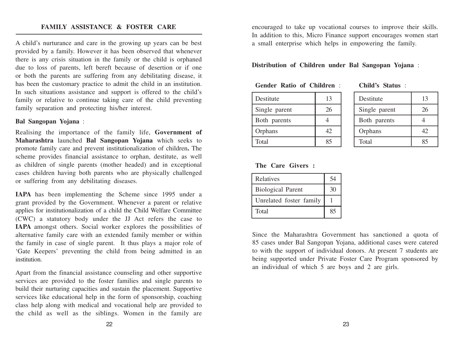#### **FAMILY ASSISTANCE & FOSTER CARE**

A child's nurturance and care in the growing up years can be best provided by a family. However it has been observed that whenever there is any crisis situation in the family or the child is orphaned due to loss of parents, left bereft because of desertion or if one or both the parents are suffering from any debilitating disease, it has been the customary practice to admit the child in an institution. In such situations assistance and support is offered to the child's family or relative to continue taking care of the child preventing family separation and protecting his/her interest.

#### **Bal Sangopan Yojana** :

Realising the importance of the family life, **Government of Maharashtra** launched **Bal Sangopan Yojana** which seeks to promote family care and prevent institutionalization of children**.** The scheme provides financial assistance to orphan, destitute, as well as children of single parents (mother headed) and in exceptional cases children having both parents who are physically challenged or suffering from any debilitating diseases.

**IAPA** has been implementing the Scheme since 1995 under a grant provided by the Government. Whenever a parent or relative applies for institutionalization of a child the Child Welfare Committee (CWC) a statutory body under the JJ Act refers the case to **IAPA** amongst others. Social worker explores the possibilities of alternative family care with an extended family member or within the family in case of single parent. It thus plays a major role of 'Gate Keepers' preventing the child from being admitted in an institution.

Apart from the financial assistance counseling and other supportive services are provided to the foster families and single parents to build their nurturing capacities and sustain the placement. Supportive services like educational help in the form of sponsorship, coaching class help along with medical and vocational help are provided to the child as well as the siblings. Women in the family are

22

encouraged to take up vocational courses to improve their skills. In addition to this, Micro Finance support encourages women start a small enterprise which helps in empowering the family.

#### **Distribution of Children under Bal Sangopan Yojana** :

**Gender Ratio of Children** :

| Destitute     | 13 |
|---------------|----|
| Single parent | 26 |
| Both parents  |    |
| Orphans       |    |
| Total         |    |

**Child's Status** :

| Destitute     | 13 |
|---------------|----|
| Single parent | 26 |
| Both parents  |    |
| Orphans       | 42 |
| Total         | 85 |

#### **The Care Givers :**

| Relatives                | 54 |
|--------------------------|----|
| <b>Biological Parent</b> | 30 |
| Unrelated foster family  |    |
| <b>Total</b>             | 85 |

Since the Maharashtra Government has sanctioned a quota of 85 cases under Bal Sangopan Yojana, additional cases were catered to with the support of individual donors. At present 7 students are being supported under Private Foster Care Program sponsored by an individual of which 5 are boys and 2 are girls.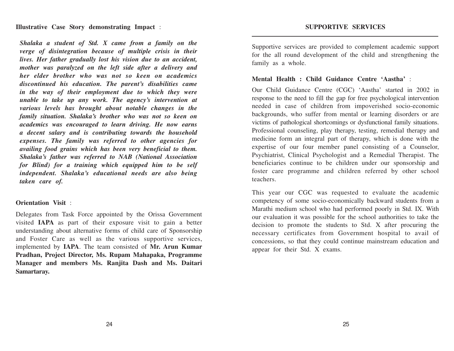**Illustrative Case Story demonstrating Impact** :

*Shalaka a student of Std. X came from a family on the verge of disintegration because of multiple crisis in their lives. Her father gradually lost his vision due to an accident, mother was paralyzed on the left side after a delivery and her elder brother who was not so keen on academics discontinued his education. The parent's disabilities came in the way of their employment due to which they were unable to take up any work. The agency's intervention at various levels has brought about notable changes in the family situation. Shalaka's brother who was not so keen on academics was encouraged to learn driving. He now earns a decent salary and is contributing towards the household expenses. The family was referred to other agencies for availing food grains which has been very beneficial to them. Shalaka's father was referred to NAB (National Association for Blind) for a training which equipped him to be self independent. Shalaka's educational needs are also being taken care of.*

#### **Orientation Visit** :

Delegates from Task Force appointed by the Orissa Government visited **IAPA** as part of their exposure visit to gain a better understanding about alternative forms of child care of Sponsorship and Foster Care as well as the various supportive services, implemented by **IAPA**. The team consisted of **Mr. Arun Kumar Pradhan, Project Director, Ms. Rupam Mahapaka, Programme Manager and members Ms. Ranjita Dash and Ms. Daitari Samartaray.**

Supportive services are provided to complement academic support for the all round development of the child and strengthening the family as a whole.

#### **Mental Health : Child Guidance Centre 'Aastha'** :

Our Child Guidance Centre (CGC) 'Aastha' started in 2002 in response to the need to fill the gap for free psychological intervention needed in case of children from impoverished socio-economic backgrounds, who suffer from mental or learning disorders or are victims of pathological shortcomings or dysfunctional family situations. Professional counseling, play therapy, testing, remedial therapy and medicine form an integral part of therapy, which is done with the expertise of our four member panel consisting of a Counselor, Psychiatrist, Clinical Psychologist and a Remedial Therapist. The beneficiaries continue to be children under our sponsorship and foster care programme and children referred by other school teachers.

This year our CGC was requested to evaluate the academic competency of some socio-economically backward students from a Marathi medium school who had performed poorly in Std. IX. With our evaluation it was possible for the school authorities to take the decision to promote the students to Std. X after procuring the necessary certificates from Government hospital to avail of concessions, so that they could continue mainstream education and appear for their Std. X exams.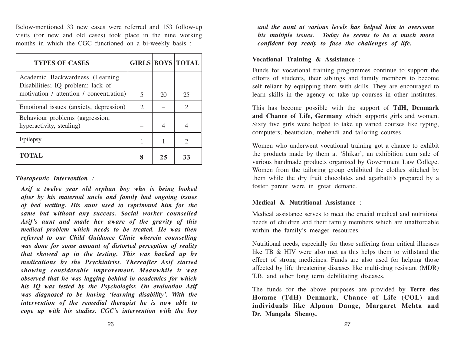Below-mentioned 33 new cases were referred and 153 follow-up visits (for new and old cases) took place in the nine working months in which the CGC functioned on a bi-weekly basis :

| <b>TYPES OF CASES</b>                                                                                            |   |    | <b>GIRLS BOYS TOTAL</b> |
|------------------------------------------------------------------------------------------------------------------|---|----|-------------------------|
| Academic Backwardness (Learning)<br>Disabilities; IQ problem; lack of<br>motivation / attention / concentration) | 5 | 20 | 25                      |
| Emotional issues (anxiety, depression)                                                                           | 2 |    | $\overline{2}$          |
| Behaviour problems (aggression,<br>hyperactivity, stealing)                                                      |   |    | 4                       |
| Epilepsy                                                                                                         |   |    | 2                       |
| <b>TOTAL</b>                                                                                                     | 8 | 25 | 33                      |

*Therapeutic Intervention :*

*Asif a twelve year old orphan boy who is being looked after by his maternal uncle and family had ongoing issues of bed wetting. His aunt used to reprimand him for the same but without any success. Social worker counselled Asif's aunt and made her aware of the gravity of this medical problem which needs to be treated. He was then referred to our Child Guidance Clinic wherein counselling was done for some amount of distorted perception of reality that showed up in the testing. This was backed up by medications by the Psychiatrist. Thereafter Asif started showing considerable improvement. Meanwhile it was observed that he was lagging behind in academics for which his IQ was tested by the Psychologist. On evaluation Asif was diagnosed to be having 'learning disability'. With the intervention of the remedial therapist he is now able to cope up with his studies. CGC's intervention with the boy*

*and the aunt at various levels has helped him to overcome his multiple issues. Today he seems to be a much more confident boy ready to face the challenges of life.*

#### **Vocational Training & Assistance** :

Funds for vocational training programmes continue to support the efforts of students, their siblings and family members to become self reliant by equipping them with skills. They are encouraged to learn skills in the agency or take up courses in other institutes.

This has become possible with the support of **TdH, Denmark and Chance of Life, Germany** which supports girls and women. Sixty five girls were helped to take up varied courses like typing, computers, beautician, mehendi and tailoring courses.

Women who underwent vocational training got a chance to exhibit the products made by them at 'Shikar', an exhibition cum sale of various handmade products organized by Government Law College. Women from the tailoring group exhibited the clothes stitched by them while the dry fruit chocolates and agarbatti's prepared by a foster parent were in great demand.

### **Medical & Nutritional Assistance** :

Medical assistance serves to meet the crucial medical and nutritional needs of children and their family members which are unaffordable within the family's meager resources.

Nutritional needs, especially for those suffering from critical illnesses like TB & HIV were also met as this helps them to withstand the effect of strong medicines. Funds are also used for helping those affected by life threatening diseases like multi-drug resistant (MDR) T.B. and other long term debilitating diseases.

The funds for the above purposes are provided by **Terre des Homme (TdH) Denmark, Chance of Life (COL) and individuals like Alpana Dange, Margaret Mehta and Dr. Mangala Shenoy.**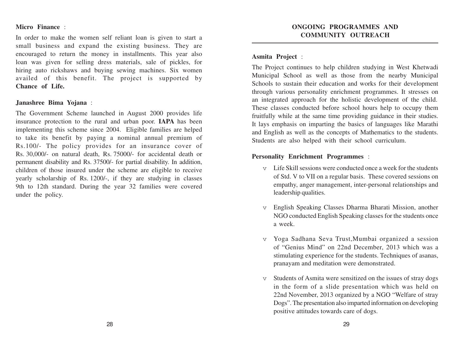#### **Micro Finance** :

In order to make the women self reliant loan is given to start a small business and expand the existing business. They are encouraged to return the money in installments. This year also loan was given for selling dress materials, sale of pickles, for hiring auto rickshaws and buying sewing machines. Six women availed of this benefit. The project is supported by **Chance of Life.**

#### **Janashree Bima Yojana** :

The Government Scheme launched in August 2000 provides life insurance protection to the rural and urban poor. **IAPA** has been implementing this scheme since 2004. Eligible families are helped to take its benefit by paying a nominal annual premium of Rs.100/- The policy provides for an insurance cover of Rs. 30,000/- on natural death, Rs. 75000/- for accidental death or permanent disability and Rs. 37500/- for partial disability. In addition, children of those insured under the scheme are eligible to receive yearly scholarship of Rs. 1200/-, if they are studying in classes 9th to 12th standard. During the year 32 families were covered under the policy.

#### **Asmita Project** :

The Project continues to help children studying in West Khetwadi Municipal School as well as those from the nearby Municipal Schools to sustain their education and works for their development through various personality enrichment programmes. It stresses on an integrated approach for the holistic development of the child. These classes conducted before school hours help to occupy them fruitfully while at the same time providing guidance in their studies. It lays emphasis on imparting the basics of languages like Marathi and English as well as the concepts of Mathematics to the students. Students are also helped with their school curriculum.

#### **Personality Enrichment Programmes** :

- <sup>v</sup> Life Skill sessions were conducted once a week for the students of Std. V to VII on a regular basis. These covered sessions on empathy, anger management, inter-personal relationships and leadership qualities.
- <sup>v</sup> English Speaking Classes Dharma Bharati Mission, another NGO conducted English Speaking classes for the students once a week.
- v Yoga Sadhana Seva Trust,Mumbai organized a session of "Genius Mind" on 22nd December, 2013 which was a stimulating experience for the students. Techniques of asanas, pranayam and meditation were demonstrated.
- <sup>v</sup> Students of Asmita were sensitized on the issues of stray dogs in the form of a slide presentation which was held on 22nd November, 2013 organized by a NGO "Welfare of stray Dogs". The presentation also imparted information on developing positive attitudes towards care of dogs.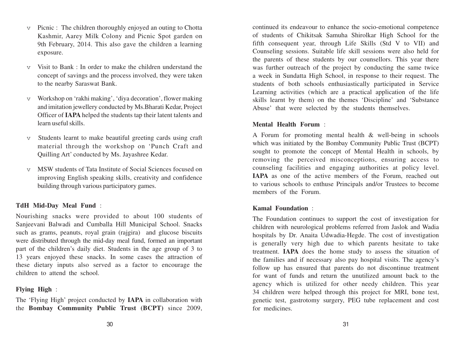- v Picnic : The children thoroughly enjoyed an outing to Chotta Kashmir, Aarey Milk Colony and Picnic Spot garden on 9th February, 2014. This also gave the children a learning exposure.
- v Visit to Bank : In order to make the children understand the concept of savings and the process involved, they were taken to the nearby Saraswat Bank.
- v Workshop on 'rakhi making', 'diya decoration', flower making and imitation jewellery conducted by Ms.Bharati Kedar, Project Officer of **IAPA** helped the students tap their latent talents and learn useful skills.
- <sup>v</sup> Students learnt to make beautiful greeting cards using craft material through the workshop on 'Punch Craft and Quilling Art' conducted by Ms. Jayashree Kedar.
- MSW students of Tata Institute of Social Sciences focused on improving English speaking skills, creativity and confidence building through various participatory games.

### **TdH Mid-Day Meal Fund** :

Nourishing snacks were provided to about 100 students of Sanjeevani Balwadi and Cumballa Hill Municipal School. Snacks such as grams, peanuts, royal grain (rajgira) and glucose biscuits were distributed through the mid-day meal fund, formed an important part of the children's daily diet. Students in the age group of 3 to 13 years enjoyed these snacks. In some cases the attraction of these dietary inputs also served as a factor to encourage the children to attend the school.

#### **Flying High** :

The 'Flying High' project conducted by **IAPA** in collaboration with the **Bombay Community Public Trust (BCPT)** since 2009, continued its endeavour to enhance the socio-emotional competence of students of Chikitsak Samuha Shirolkar High School for the fifth consequent year, through Life Skills (Std V to VII) and Counseling sessions. Suitable life skill sessions were also held for the parents of these students by our counsellors. This year there was further outreach of the project by conducting the same twice a week in Sundatta High School, in response to their request. The students of both schools enthusiastically participated in Service Learning activities (which are a practical application of the life skills learnt by them) on the themes 'Discipline' and 'Substance Abuse' that were selected by the students themselves.

#### **Mental Health Forum** :

A Forum for promoting mental health & well-being in schools which was initiated by the Bombay Community Public Trust (BCPT) sought to promote the concept of Mental Health in schools, by removing the perceived misconceptions, ensuring access to counseling facilities and engaging authorities at policy level. **IAPA** as one of the active members of the Forum, reached out to various schools to enthuse Principals and/or Trustees to become members of the Forum.

### **Kamal Foundation** :

The Foundation continues to support the cost of investigation for children with neurological problems referred from Jaslok and Wadia hospitals by Dr. Anaita Udwadia-Hegde. The cost of investigation is generally very high due to which parents hesitate to take treatment. **IAPA** does the home study to assess the situation of the families and if necessary also pay hospital visits. The agency's follow up has ensured that parents do not discontinue treatment for want of funds and return the unutilized amount back to the agency which is utilized for other needy children. This year 34 children were helped through this project for MRI, bone test, genetic test, gastrotomy surgery, PEG tube replacement and cost for medicines.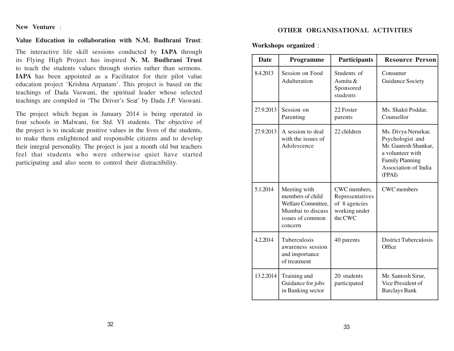#### **New Venture** :

#### **Value Education in collaboration with N.M. Budhrani Trust**:

The interactive life skill sessions conducted by **IAPA** through its Flying High Project has inspired **N. M. Budhrani Trust** to teach the students values through stories rather than sermons. **IAPA** has been appointed as a Facilitator for their pilot value education project 'Krishna Arpanam'. This project is based on the teachings of Dada Vaswani, the spiritual leader whose selected teachings are compiled in 'The Driver's Seat' by Dada J.P. Vaswani.

The project which began in January 2014 is being operated in four schools in Malwani, for Std. VI students. The objective of the project is to inculcate positive values in the lives of the students, to make them enlightened and responsible citizens and to develop their integral personality. The project is just a month old but teachers feel that students who were otherwise quiet have started participating and also seem to control their distractibility.

#### **OTHER ORGANISATIONAL ACTIVITIES**

#### **Workshops organized** :

| <b>Date</b> | Programme                                                                                                  | <b>Participants</b>                                                          | <b>Resource Person</b>                                                                                                                          |
|-------------|------------------------------------------------------------------------------------------------------------|------------------------------------------------------------------------------|-------------------------------------------------------------------------------------------------------------------------------------------------|
| 8.4.2013    | Session on Food<br>Adulteration                                                                            | Students of<br>Asmita &<br>Sponsored<br>students                             | Consumer<br><b>Guidance Society</b>                                                                                                             |
| 27.9.2013   | Session on<br>Parenting                                                                                    | 22 Foster<br>parents                                                         | Ms. Shakti Poddar,<br>Counsellor                                                                                                                |
| 27.9.2013   | A session to deal<br>with the issues of<br>Adolescence                                                     | 22 children                                                                  | Ms. Divya Nerurkar,<br>Psychologist and<br>Mr. Gauresh Shankar,<br>a volunteer with<br><b>Family Planning</b><br>Association of India<br>(FPAI) |
| 5.1.2014    | Meeting with<br>members of child<br>Welfare Committee,<br>Mumbai to discuss<br>issues of common<br>concern | CWC members,<br>Representatives<br>of 8 agencies<br>working under<br>the CWC | <b>CWC</b> members                                                                                                                              |
| 4.2.2014    | Tuberculosis<br>awareness session<br>and importance<br>of treatment                                        | 40 parents                                                                   | <b>District Tuberculosis</b><br>Office                                                                                                          |
| 13.2.2014   | Training and<br>Guidance for jobs<br>in Banking sector                                                     | 20 students<br>participated                                                  | Mr. Santosh Sirur,<br>Vice President of<br><b>Barclays Bank</b>                                                                                 |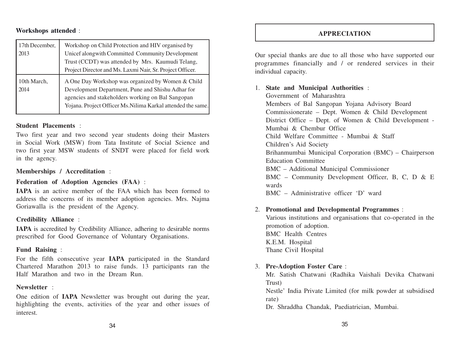#### **Workshops attended** :

| 17th December,<br>2013 | Workshop on Child Protection and HIV organised by<br>Unicef alongwith Committed Community Development<br>Trust (CCDT) was attended by Mrs. Kaumudi Telang,<br>Project Director and Ms. Laxmi Nair, Sr. Project Officer.     |
|------------------------|-----------------------------------------------------------------------------------------------------------------------------------------------------------------------------------------------------------------------------|
| 10th March,<br>2014    | A One Day Workshop was organized by Women & Child<br>Development Department, Pune and Shishu Adhar for<br>agencies and stakeholders working on Bal Sangopan<br>Yojana. Project Officer Ms. Nilima Karkal attended the same. |

#### **Student Placements** :

Two first year and two second year students doing their Masters in Social Work (MSW) from Tata Institute of Social Science and two first year MSW students of SNDT were placed for field work in the agency.

#### **Memberships / Accreditation** :

#### **Federation of Adoption Agencies (FAA)** :

**IAPA** is an active member of the FAA which has been formed to address the concerns of its member adoption agencies. Mrs. Najma Goriawalla is the president of the Agency.

#### **Credibility Alliance** :

**IAPA** is accredited by Credibility Alliance, adhering to desirable norms prescribed for Good Governance of Voluntary Organisations.

#### **Fund Raising** :

For the fifth consecutive year **IAPA** participated in the Standard Chartered Marathon 2013 to raise funds. 13 participants ran the Half Marathon and two in the Dream Run.

#### **Newsletter** :

One edition of **IAPA** Newsletter was brought out during the year, highlighting the events, activities of the year and other issues of interest.

#### **APPRECIATION**

Our special thanks are due to all those who have supported our programmes financially and / or rendered services in their individual capacity.

1. **State and Municipal Authorities** : Government of Maharashtra Members of Bal Sangopan Yojana Advisory Board Commissionerate – Dept. Women & Child Development District Office – Dept. of Women & Child Development - Mumbai & Chembur Office Child Welfare Committee - Mumbai & Staff Children's Aid Society Brihanmumbai Municipal Corporation (BMC) – Chairperson Education Committee BMC – Additional Municipal Commissioner BMC – Community Development Officer, B, C, D & E wards BMC – Administrative officer 'D' ward

#### 2. **Promotional and Developmental Programmes** :

Various institutions and organisations that co-operated in the promotion of adoption. BMC Health Centres K.E.M. Hospital Thane Civil Hospital

#### 3. **Pre-Adoption Foster Care** :

Mr. Satish Chatwani (Radhika Vaishali Devika Chatwani Trust)

Nestle' India Private Limited (for milk powder at subsidised rate)

Dr. Shraddha Chandak, Paediatrician, Mumbai.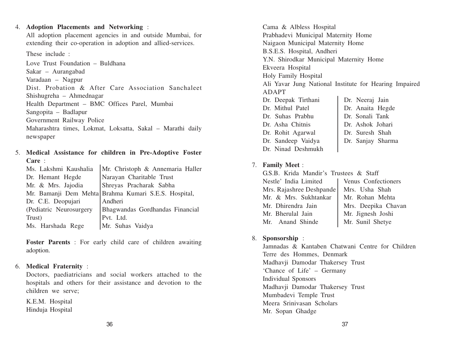#### 4. **Adoption Placements and Networking** :

All adoption placement agencies in and outside Mumbai, for extending their co-operation in adoption and allied-services.

These include :

Love Trust Foundation – Buldhana Sakar – Aurangabad Varadaan – Nagpur Dist. Probation & After Care Association Sanchaleet Shishugreha – Ahmednagar Health Department – BMC Offices Parel, Mumbai Sangopita – Badlapur Government Railway Police Maharashtra times, Lokmat, Loksatta, Sakal – Marathi daily newspaper

5. **Medical Assistance for children in Pre-Adoptive Foster Care** :

| Mr. Christoph & Annemaria Haller                     |
|------------------------------------------------------|
| Narayan Charitable Trust                             |
| Shreyas Pracharak Sabha                              |
| Mr. Bamanji Dem Mehta Brahma Kumari S.E.S. Hospital, |
| Andheri                                              |
| Bhagwandas Gordhandas Financial                      |
| Pvt. Ltd.                                            |
| Mr. Suhas Vaidya                                     |
|                                                      |

**Foster Parents** : For early child care of children awaiting adoption.

#### 6. **Medical Fraternity** :

Doctors, paediatricians and social workers attached to the hospitals and others for their assistance and devotion to the children we serve;

K.E.M. Hospital Hinduja Hospital Cama & Albless Hospital Prabhadevi Municipal Maternity Home Naigaon Municipal Maternity Home B.S.E.S. Hospital, Andheri Y.N. Shirodkar Municipal Maternity Home Ekveera Hospital Holy Family Hospital Ali Yavar Jung National Institute for Hearing Impaired ADAPT Dr. Deepak Tirthani Dr. Neeraj Jain Dr. Mithul Patel Dr. Anaita Hegde Dr. Suhas Prabhu Dr. Sonali Tank

- Dr. Asha Chitnis | Dr. Ashok Johari
	-
- Dr. Rohit Agarwal Dr. Suresh Shah
	- Dr. Sanjay Sharma
- Dr. Sandeep Vaidya Dr. Ninad Deshmukh

#### 7. **Family Meet** :

| G.S.B. Krida Mandir's Trustees & Staff    |                     |
|-------------------------------------------|---------------------|
| Nestle' India Limited                     | Venus Confectioners |
| Mrs. Rajashree Deshpande   Mrs. Usha Shah |                     |
| Mr. & Mrs. Sukhtankar                     | Mr. Rohan Mehta     |
| Mr. Dhirendra Jain                        | Mrs. Deepika Chavan |
| Mr. Bherulal Jain                         | Mr. Jignesh Joshi   |
| Mr. Anand Shinde                          | Mr. Sunil Shetye    |

8. **Sponsorship** :

Jamnadas & Kantaben Chatwani Centre for Children Terre des Hommes, Denmark Madhavji Damodar Thakersey Trust 'Chance of Life' – Germany Individual Sponsors Madhavji Damodar Thakersey Trust Mumbadevi Temple Trust Meera Srinivasan Scholars Mr. Sopan Ghadge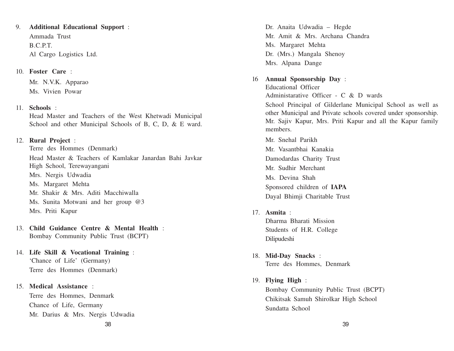#### 9. **Additional Educational Support** :

Ammada Trust B.C.P.T. Al Cargo Logistics Ltd.

#### 10. **Foster Care** :

Mr. N.V.K. Apparao Ms. Vivien Powar

#### 11. **Schools** :

Head Master and Teachers of the West Khetwadi Municipal School and other Municipal Schools of B, C, D, & E ward.

#### 12. **Rural Project** :

Terre des Hommes (Denmark) Head Master & Teachers of Kamlakar Janardan Bahi Javkar High School, Terewayangani Mrs. Nergis Udwadia Ms. Margaret Mehta Mr. Shakir & Mrs. Aditi Macchiwalla Ms. Sunita Motwani and her group @3 Mrs. Priti Kapur

- 13. **Child Guidance Centre & Mental Health** : Bombay Community Public Trust (BCPT)
- 14. **Life Skill & Vocational Training** : 'Chance of Life' (Germany) Terre des Hommes (Denmark)
- 15. **Medical Assistance** :

Terre des Hommes, Denmark Chance of Life, Germany Mr. Darius & Mrs. Nergis Udwadia Dr. Anaita Udwadia – Hegde Mr. Amit & Mrs. Archana Chandra Ms. Margaret Mehta Dr. (Mrs.) Mangala Shenoy Mrs. Alpana Dange

16 **Annual Sponsorship Day** : Educational Officer Administarative Officer - C & D wards

School Principal of Gilderlane Municipal School as well as other Municipal and Private schools covered under sponsorship. Mr. Sajiv Kapur, Mrs. Priti Kapur and all the Kapur family members.

Mr. Snehal Parikh Mr. Vasantbhai Kanakia Damodardas Charity Trust Mr. Sudhir Merchant Ms. Devina Shah Sponsored children of **IAPA** Dayal Bhimji Charitable Trust

- 17. **Asmita** : Dharma Bharati Mission Students of H.R. College Dilipudeshi
- 18. **Mid-Day Snacks** : Terre des Hommes, Denmark
- 19. **Flying High** : Bombay Community Public Trust (BCPT) Chikitsak Samuh Shirolkar High School Sundatta School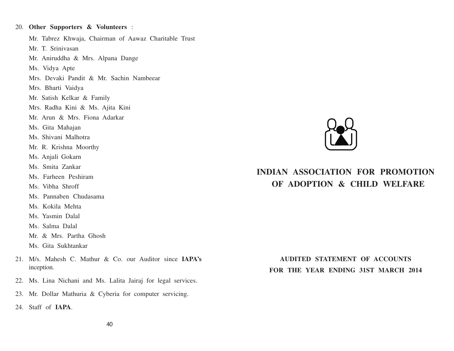20. **Other Supporters & Volunteers** : Mr. Tabrez Khwaja, Chairman of Aawaz Charitable Trust Mr. T. Srinivasan Mr. Aniruddha & Mrs. Alpana Dange Ms. Vidya Apte Mrs. Devaki Pandit & Mr. Sachin Nambeear Mrs. Bharti Vaidya Mr. Satish Kelkar & Family Mrs. Radha Kini & Ms. Ajita Kini Mr. Arun & Mrs. Fiona Adarkar Ms. Gita Mahajan Ms. Shivani Malhotra Mr. R. Krishna Moorthy Ms. Anjali Gokarn Ms. Smita Zankar Ms. Farheen Peshiram Ms. Vibha Shroff Ms. Pannaben Chudasama Ms. Kokila Mehta Ms. Yasmin Dalal Ms. Salma Dalal Mr. & Mrs. Partha Ghosh Ms. Gita Sukhtankar 21. M/s. Mahesh C. Mathur & Co. our Auditor since **IAPA's** inception.

- 22. Ms. Lina Nichani and Ms. Lalita Jairaj for legal services.
- 23. Mr. Dollar Mathuria & Cyberia for computer servicing.
- 24. Staff of **IAPA**.



# **INDIAN ASSOCIATION FOR PROMOTION OF ADOPTION & CHILD WELFARE**

**AUDITED STATEMENT OF ACCOUNTS FOR THE YEAR ENDING 31ST MARCH 2014**

40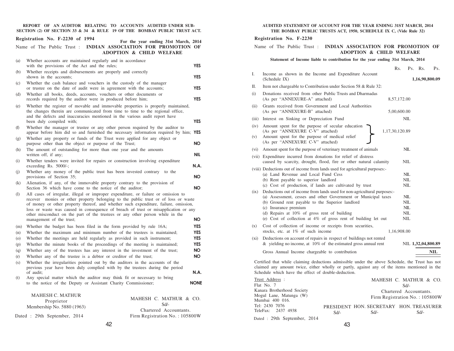**REPORT OF AN AUDITOR RELATING TO ACCOUNTS AUDITED UNDER SUB-SECTION (2) OF SECTION 33 & 34 & RULE 19 OF THE BOMBAY PUBLIC TRUST ACT.**

|            | Registration No. F-2230 of 1994                                                                                                                                                                                                                                                                                                                                                                                                                                      | For the year ending 31st March, 2014                     |
|------------|----------------------------------------------------------------------------------------------------------------------------------------------------------------------------------------------------------------------------------------------------------------------------------------------------------------------------------------------------------------------------------------------------------------------------------------------------------------------|----------------------------------------------------------|
|            | Name of The Public Trust : INDIAN ASSOCIATION FOR PROMOTION OF                                                                                                                                                                                                                                                                                                                                                                                                       | <b>ADOPTION &amp; CHILD WELFARE</b>                      |
| (a)        | Whether accounts are maintained regularly and in accordance                                                                                                                                                                                                                                                                                                                                                                                                          | <b>YES</b>                                               |
| (b)        | with the provisions of the Act and the rules;<br>Whether receipts and disbursements are properly and correctly                                                                                                                                                                                                                                                                                                                                                       |                                                          |
| (c)        | shown in the accounts;<br>Whether the cash balance and vouchers in the custody of the manager                                                                                                                                                                                                                                                                                                                                                                        | <b>YES</b>                                               |
|            | or trustee on the date of audit were in agreement with the accounts;                                                                                                                                                                                                                                                                                                                                                                                                 | <b>YES</b>                                               |
| (d)        | Whether all books, deeds, accounts, vouchers or other documents or<br>records required by the auditor were in produced before him;                                                                                                                                                                                                                                                                                                                                   | <b>YES</b>                                               |
| (e)        | Whether the register of movable and immovable properties is properly maintained,<br>the changes therein are communicated from time to time to the regional office,<br>and the defects and inaccuracies mentioned in the various audit report have                                                                                                                                                                                                                    |                                                          |
|            | been duly compiled with;                                                                                                                                                                                                                                                                                                                                                                                                                                             | <b>YES</b>                                               |
| (f)        | Whether the manager or trustee or any other person required by the auditor to<br>appear before him did so and furnished the necessary information required by him; YES                                                                                                                                                                                                                                                                                               |                                                          |
| (g)        | Whether any property or funds of the Trust were applied for any object or<br>purpose other than the object or purpose of the Trust;                                                                                                                                                                                                                                                                                                                                  | <b>NO</b>                                                |
| (h)        | The amount of outstanding for more than one year and the amounts<br>written off, if any;                                                                                                                                                                                                                                                                                                                                                                             | nil                                                      |
| (i)        | Whether tenders were invited for repairs or construction involving expenditure<br>exceeding Rs. $5000/-$ ;                                                                                                                                                                                                                                                                                                                                                           | N.A.                                                     |
| (i)        | Whether any money of the public trust has been invested contrary<br>provisions of Section 35;                                                                                                                                                                                                                                                                                                                                                                        | to the<br><b>NO</b>                                      |
| (k)        | Alienation, if any, of the immovable property contrary to the provision of<br>Section 36 which have come to the notice of the auditor;                                                                                                                                                                                                                                                                                                                               | <b>NO</b>                                                |
| (1)        | All cases of irregular, illegal or improper expenditure, or failure or omission to<br>recover monies or other property belonging to the public trust or of loss or waste<br>of money or other property thereof, and whether such expenditure, failure, omission,<br>loss or waste was caused in consequence of breach of trust or misapplication or any<br>other misconduct on the part of the trustees or any other person while in the<br>management of the trust; | NO.                                                      |
| (m)        | Whether the budget has been filed in the form provided by rule 16A;                                                                                                                                                                                                                                                                                                                                                                                                  | <b>YES</b>                                               |
| (n)        | Whether the maximum and minimum number of the trustees is maintained;                                                                                                                                                                                                                                                                                                                                                                                                | <b>YES</b>                                               |
| (o)<br>(p) | Whether the meetings are held regularly as provided in such instrument;<br>Whether the minute books of the proceedings of the meeting is maintained;                                                                                                                                                                                                                                                                                                                 | <b>YES</b><br><b>YES</b>                                 |
| (q)        | Whether any of the trustees has any interest in the investment of the trust;                                                                                                                                                                                                                                                                                                                                                                                         | NO.                                                      |
| (r)        | Whether any of the trustee is a debtor or creditor of the trust;                                                                                                                                                                                                                                                                                                                                                                                                     | <b>NO</b>                                                |
| (s)        | Whether the irregularities pointed out by the auditors in the accounts of the<br>previous year have been duly complied with by the trustees during the period<br>of audit;                                                                                                                                                                                                                                                                                           | N.A.                                                     |
| (t)        | Any special matter which the auditor may think fit or necessary to bring                                                                                                                                                                                                                                                                                                                                                                                             |                                                          |
|            | to the notice of the Deputy or Assistant Charity Commissioner;                                                                                                                                                                                                                                                                                                                                                                                                       | <b>NONE</b>                                              |
|            | <b>MAHESH C. MATHUR</b><br>Proprietor<br>Membership No. 5880 (1963)                                                                                                                                                                                                                                                                                                                                                                                                  | MAHESH C. MATHUR & CO.<br>$Sd/-$                         |
|            | Dated : 29th September, 2014                                                                                                                                                                                                                                                                                                                                                                                                                                         | Chartered Accountants.<br>Firm Registration No.: 105800W |

#### **AUDITED STATEMENT OF ACCOUNT FOR THE YEAR ENDING 31ST MARCH, 2014 THE BOMBAY PUBLIC TRUSTS ACT, 1950, SCHEDULE IX C, (Vide Rule 32)**

#### **Registration No. F-2230**

#### Name of The Public Trust : **INDIAN ASSOCIATION FOR PROMOTION OF ADOPTION & CHILD WELFARE**

#### **Statement of Income liable to contribution for the year ending 31st March, 2014**

|             |                                                                                                                                                                                                                                                                                                                                                 |                        | Rs.         |                                  | Ps. Rs.            | Ps.        |
|-------------|-------------------------------------------------------------------------------------------------------------------------------------------------------------------------------------------------------------------------------------------------------------------------------------------------------------------------------------------------|------------------------|-------------|----------------------------------|--------------------|------------|
| I.          | Income as shown in the Income and Expenditure Account<br>(Schedule IX)                                                                                                                                                                                                                                                                          |                        |             |                                  | 1,16,90,800.09     |            |
| П.          | Item not chargeable to Contribution under Section 58 & Rule 32:                                                                                                                                                                                                                                                                                 |                        |             |                                  |                    |            |
| (i)         | Donations received from other Public Trusts and Dharmadas<br>(As per "ANNEXURE-A" attached)                                                                                                                                                                                                                                                     |                        | 8,57,172.00 |                                  |                    |            |
| (ii)        | Grants received from Government and Local Authorities<br>(As per "ANNEXURE-B" attached)                                                                                                                                                                                                                                                         |                        | 5,00,600.00 |                                  |                    |            |
| (iii)       | Interest on Sinking or Depreciation Fund                                                                                                                                                                                                                                                                                                        |                        |             | NIL                              |                    |            |
| (iv)<br>(v) | Amount spent for the purpose of secular education<br>(As per "ANNEXURE C-V" attached)<br>Amount spent for the purpose of medical relief<br>(As per "ANNEXURE C-V" attached)                                                                                                                                                                     | 1,17,30,120.89         |             |                                  |                    |            |
| (vi)        | Amount spent for the purpose of veterinary treatment of animals                                                                                                                                                                                                                                                                                 |                        |             | NIL                              |                    |            |
|             | (vii) Expenditure incurred from donations for relief of distress<br>caused by scarcity, drought, flood, fire or other natural calamity                                                                                                                                                                                                          |                        |             | NIL                              |                    |            |
|             | (viii) Deductions out of income from lands used for agricultural purposes:-<br>(a) Land Revenue and Local Fund Cess<br>(b) Rent payable to superior landlord<br>(c) Cost of production, if lands are cultivated by trust                                                                                                                        |                        |             | NIL.<br>NIL<br><b>NIL</b>        |                    |            |
| (ix)        | Deductions out of income from lands used for non-agricultural purposes:-<br>(a) Assessment, cesses and other Government or Municipal taxes<br>(b) Ground rent payable to the Superior landlord<br>(c) Insurance premium<br>(d) Repairs at $10\%$ of gross rent of building<br>(e) Cost of collection at $4\%$ of gross rent of building let out |                        |             | NIL.<br>NIL<br>NIL<br>NIL<br>NIL |                    |            |
| (x)         | Cost of collection of income or receipts from securities,<br>stocks, etc. at 1% of such income                                                                                                                                                                                                                                                  |                        | 1,16,908.00 |                                  |                    |            |
| $(x_i)$     | Deductions on account of repairs in respect of buildings not rented<br>& yielding no income, at $10\%$ of the estimated gross annual rent                                                                                                                                                                                                       |                        |             |                                  | NIL 1,32,04,800.89 |            |
|             | Gross Annual Income chargeable to contribution                                                                                                                                                                                                                                                                                                  |                        |             |                                  |                    | <b>NIL</b> |
|             | Certified that while claiming deductions admissible under the above Schedule, the Trust has not<br>claimed any amount twice, either wholly or partly, against any of the items mentioned in the<br>Schedule which have the effect of double-deduction.                                                                                          |                        |             |                                  |                    |            |
|             | Trust Address :<br>Flat No. 7<br>$V = \{x_1, \ldots, x_n\}$ and $\{x_1, \ldots, x_n\}$ and $\{x_2, \ldots, x_n\}$                                                                                                                                                                                                                               | MAHESH C. MATHUR & CO. |             | Sd/-                             |                    |            |

| Flat No. 7                   |        |      | $Sd$ -                                |
|------------------------------|--------|------|---------------------------------------|
| Kanara Brotherhood Society   |        |      | Chartered Accountants.                |
| Mogul Lane, Matunga (W)      |        |      | Firm Registration No.: 105800W        |
| Mumbai 400 016.              |        |      |                                       |
| Tel: 2430 7076               |        |      | PRESIDENT HON SECRETARY HON TREASURER |
| TeleFax: 2437 4938           | $Sd/-$ | Sd/- | Sd/-                                  |
| Dated : 29th September, 2014 |        |      |                                       |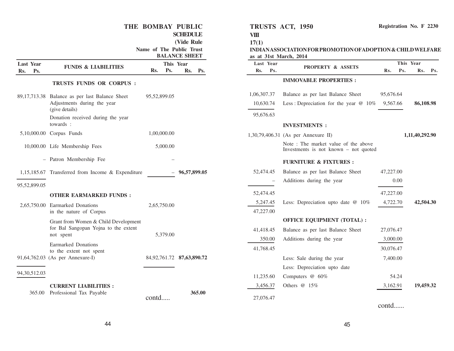|                                |                                                                                                 | THE BOMBAY PUBLIC<br>Name of The Public Trust |          | <b>SCHEDULE</b><br>(Vide Rule<br><b>BALANCE SHEET</b> |                 | VIII<br>17(1)<br>as at 31st March, 2014 | TRUSTS ACT, 1950<br>INDIANASSOCIATION FOR PROMOTION OF ADOPTION & CHILD WELFARE | Registration No. F 2230 |       |                |           |
|--------------------------------|-------------------------------------------------------------------------------------------------|-----------------------------------------------|----------|-------------------------------------------------------|-----------------|-----------------------------------------|---------------------------------------------------------------------------------|-------------------------|-------|----------------|-----------|
| <b>Last Year</b><br>Ps.<br>Rs. | <b>FUNDS &amp; LIABILITIES</b>                                                                  | Rs.                                           | Ps.      | This Year                                             | Rs. Ps.         | Last Year<br>Ps.<br>Rs.                 | <b>PROPERTY &amp; ASSETS</b>                                                    | Rs.                     | Ps.   | This Year      | Rs. Ps.   |
|                                | TRUSTS FUNDS OR CORPUS :                                                                        |                                               |          |                                                       |                 |                                         | <b>IMMOVABLE PROPERTIES:</b>                                                    |                         |       |                |           |
|                                | 89,17,713.38 Balance as per last Balance Sheet<br>Adjustments during the year<br>(give details) | 95,52,899.05                                  |          |                                                       |                 | 1,06,307.37<br>10,630.74                | Balance as per last Balance Sheet<br>Less: Depreciation for the year $@$ 10%    | 95,676.64<br>9,567.66   |       |                | 86,108.98 |
|                                | Donation received during the year<br>towards :                                                  |                                               |          |                                                       |                 | 95,676.63                               | <b>INVESTMENTS:</b>                                                             |                         |       |                |           |
|                                | 5,10,000.00 Corpus Funds                                                                        | 1,00,000.00                                   |          |                                                       |                 |                                         | 1,30,79,406.31 (As per Annexure II)                                             |                         |       | 1,11,40,292.90 |           |
|                                | 10,000.00 Life Membership Fees                                                                  |                                               | 5,000.00 |                                                       |                 |                                         | Note: The market value of the above<br>Investments is not known - not quoted    |                         |       |                |           |
|                                | - Patron Membership Fee                                                                         |                                               |          |                                                       |                 |                                         | <b>FURNITURE &amp; FIXTURES:</b>                                                |                         |       |                |           |
|                                | 1,15,185.67 Transferred from Income & Expenditure                                               |                                               |          |                                                       | $-96,57,899.05$ | 52,474.45<br>$\overline{\phantom{m}}$   | Balance as per last Balance Sheet<br>Additions during the year                  | 47,227.00               | 0.00  |                |           |
| 95,52,899.05                   | <b>OTHER EARMARKED FUNDS:</b>                                                                   |                                               |          |                                                       |                 | 52,474.45                               |                                                                                 | 47,227.00               |       |                |           |
|                                | 2,65,750.00 Earmarked Donations<br>in the nature of Corpus                                      | 2,65,750.00                                   |          |                                                       |                 | 5,247.45<br>47,227.00                   | Less: Depreciation upto date $@$ 10%                                            | 4,722.70                |       |                | 42,504.30 |
|                                | Grant from Women & Child Development                                                            |                                               |          |                                                       |                 |                                         | <b>OFFICE EQUIPMENT (TOTAL):</b>                                                |                         |       |                |           |
|                                | for Bal Sangopan Yojna to the extent<br>not spent                                               |                                               | 5,379.00 |                                                       |                 | 41,418.45                               | Balance as per last Balance Sheet                                               | 27,076.47               |       |                |           |
|                                | Earmarked Donations                                                                             |                                               |          |                                                       |                 | 350.00                                  | Additions during the year                                                       | 3,000.00                |       |                |           |
|                                | to the extent not spent                                                                         |                                               |          |                                                       |                 | 41,768.45                               |                                                                                 | 30,076.47               |       |                |           |
|                                | 91,64,762.03 (As per Annexure-I)                                                                | 84,92,761.72 87,63,890.72                     |          |                                                       |                 |                                         | Less: Sale during the year                                                      | 7,400.00                |       |                |           |
| 94,30,512.03                   |                                                                                                 |                                               |          |                                                       |                 |                                         | Less: Depreciation upto date                                                    |                         |       |                |           |
|                                |                                                                                                 |                                               |          |                                                       |                 | 11,235.60                               | Computers @ 60%                                                                 |                         | 54.24 |                |           |
|                                | <b>CURRENT LIABILITIES :</b>                                                                    |                                               |          |                                                       |                 | 3,456.37                                | Others @ 15%                                                                    | 3,162.91                |       |                | 19,459.32 |
|                                | 365.00 Professional Tax Payable                                                                 | contd                                         |          |                                                       | 365.00          | 27,076.47                               |                                                                                 | contd                   |       |                |           |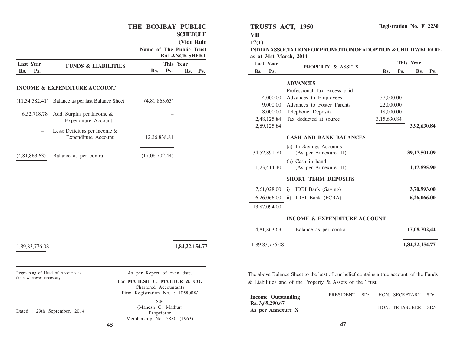#### **SCHEDULE VIII (Vide Rule 17(1) Name of The Public Trust INDIAN ASSOCIATION FOR PROMOTION OFADOPTION & CHILD WELFARE BALANCE SHEET as at 31st March, 2014 This Year Last Year FUNDS & LIABILITIES Last Year This YearPROPERTY & ASSETS Rs. Ps. Rs. Ps. Rs. Ps. Rs. Ps. Rs. Ps. Rs. Ps. ADVANCES INCOME & EXPENDITURE ACCOUNT** – Professional Tax Excess paid – 14,000.00 Advances to Employees 37,000.00 (11,34,582.41) Balance as per last Balance Sheet (4,81,863.63) 9,000.00 Advances to Foster Parents 22,000.00 18,000.00 Telephone Deposits 18,000.00 6,52,718.78 Add: Surplus per Income  $\&$ 2,48,125.84 Tax deducted at source 3,15,630.84 Expenditure Account 2,89,125.84 **3,92,630.84** – Less: Deficit as per Income & Expenditure Account 12,26,838.81 **CASH AND BANK BALANCES** (a) In Savings Accounts 34,52,891.79 (As per Annexure III) **39,17,501.09** (4,81,863.63) Balance as per contra (17,08,702.44) (b) Cash in hand 1,23,414.40 (As per Annexure III) **1,17,895.90 SHORT TERM DEPOSITS** 7,61,028.00 i) IDBI Bank (Saving) **3,70,993.00** 6,26,066.00 ii) IDBI Bank (FCRA) **6,26,066.00** 13,87,094.00 **INCOME & EXPENDITURE ACCOUNT** 4,81,863.63 Balance as per contra **17,08,702,44** 1,89,83,776.08 **1,84,22,154.77** 1,89,83,776.08 **1,84,22,154.77** Regrouping of Head of Accounts is As per Report of even date. The above Balance Sheet to the best of our belief contains a true account of the Funds done wherever necessary. For **MAHESH C. MATHUR & CO.** & Liabilities and of the Property & Assets of the Trust. Chartered Accountants Firm Registration No. : 105800W PRESIDENT SD/- HON. SECRETARY SD/- **Income Outstanding**

**Rs. 3,69,290.67 As per Annexure X**

**TRUSTS ACT, 1950**

Dated : 29th September, 2014

Sd/- (Mahesh C. Mathur) Proprietor Membership No. 5880 (1963)

**THE BOMBAY PUBLIC**

47

HON. TREASURER SD/-

**Registration No. F 2230**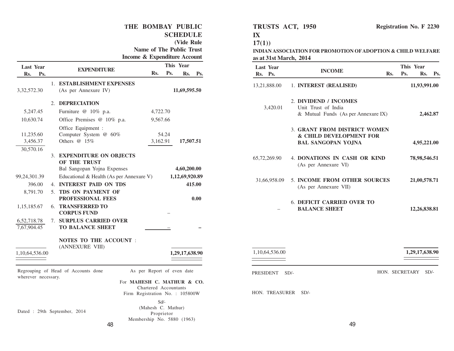#### **THE BOMBAY PUBLIC SCHEDULE (Vide Rule Name of The Public Trust**

|                     |         | <b>Income &amp; Expenditure Account</b>                                                              |                       |       |                            |        |
|---------------------|---------|------------------------------------------------------------------------------------------------------|-----------------------|-------|----------------------------|--------|
| <b>Last Year</b>    |         | <b>EXPENDITURE</b>                                                                                   |                       |       | This Year                  |        |
| Rs.<br>Ps.          |         |                                                                                                      | R <sub>S</sub>        | Ps.   | Rs.                        | Ps.    |
|                     | $1_{-}$ | <b>ESTABLISHMENT EXPENSES</b>                                                                        |                       |       |                            |        |
| 3, 32, 572. 30      |         | (As per Annexure IV)                                                                                 |                       |       | 11,69,595.50               |        |
|                     | 2.      | <b>DEPRECIATION</b>                                                                                  |                       |       |                            |        |
| 5,247.45            |         | Furniture @ 10% p.a.                                                                                 | 4,722.70              |       |                            |        |
| 10,630.74           |         | Office Premises @ 10% p.a.                                                                           | 9,567.66              |       |                            |        |
|                     |         | Office Equipment :                                                                                   |                       |       |                            |        |
| 11,235.60           |         | Computer System @ 60%                                                                                |                       | 54.24 |                            |        |
| 3,456.37            |         | Others @ 15%                                                                                         | 3,162.91              |       | 17,507.51                  |        |
| 30,570.16           |         |                                                                                                      |                       |       |                            |        |
|                     |         | 3. EXPENDITURE ON OBJECTS<br>OF THE TRUST                                                            |                       |       |                            |        |
|                     |         | Bal Sangopan Yojna Expenses                                                                          |                       |       | 4,60,200.00                |        |
| 99,24,301.39        |         | Educational & Health (As per Annexure V)                                                             |                       |       | 1,12,69,920.89             |        |
| 396.00              |         | <b>4. INTEREST PAID ON TDS</b>                                                                       |                       |       |                            | 415.00 |
| 8,791.70            | 5.      | TDS ON PAYMENT OF                                                                                    |                       |       |                            |        |
|                     |         | PROFESSIONAL FEES                                                                                    |                       |       |                            | 0.00   |
| 1,15,185.67         | 6.      | <b>TRANSFERRED TO</b><br><b>CORPUS FUND</b>                                                          |                       |       |                            |        |
| 6,52,718.78         |         | 7. SURPLUS CARRIED OVER                                                                              |                       |       |                            |        |
| 7,67,904.45         |         | <b>TO BALANCE SHEET</b>                                                                              |                       |       |                            |        |
|                     |         | <b>NOTES TO THE ACCOUNT :</b><br>(ANNEXURE VIII)                                                     |                       |       |                            |        |
| 1,10,64,536.00      |         |                                                                                                      |                       |       | 1,29,17,638.90             |        |
| wherever necessary. |         | Regrouping of Head of Accounts done<br>For MAHESH C. MATHUR & CO.<br>Firm Registration No. : 105800W | Chartered Accountants |       | As per Report of even date |        |

48

# **TRUSTS ACT, 1950**

**IX**

### **17(1))**

**INDIAN ASSOCIATION FOR PROMOTION OFADOPTION & CHILD WELFARE as at 31st March, 2014**

| <b>INCOME</b>                                             |                                                                                                            | Rs. | Ps.                                                                                                                    |
|-----------------------------------------------------------|------------------------------------------------------------------------------------------------------------|-----|------------------------------------------------------------------------------------------------------------------------|
| 13,21,888.00<br>1. INTEREST (REALISED)                    |                                                                                                            |     |                                                                                                                        |
| 2. DIVIDEND / INCOMES<br>Unit Trust of India              |                                                                                                            |     |                                                                                                                        |
| & CHILD DEVELOPMENT FOR<br><b>BAL SANGOPAN YOJNA</b>      |                                                                                                            |     |                                                                                                                        |
| 4. DONATIONS IN CASH OR KIND<br>(As per Annexure VI)      |                                                                                                            |     |                                                                                                                        |
| (As per Annexure VII)                                     |                                                                                                            |     |                                                                                                                        |
| <b>6. DEFICIT CARRIED OVER TO</b><br><b>BALANCE SHEET</b> |                                                                                                            |     |                                                                                                                        |
|                                                           |                                                                                                            |     |                                                                                                                        |
|                                                           | Rs.<br>& Mutual Funds (As per Annexure IX)<br>3. GRANT FROM DISTRICT WOMEN<br>5. INCOME FROM OTHER SOURCES | Ps. | This Year<br>11,93,991.00<br>2,462.87<br>4,95,221.00<br>78,98,546.51<br>21,00,578.71<br>12,26,838.81<br>1,29,17,638.90 |

HON. TREASURER SD/-

Dated : 29th September, 2014

Proprietor Membership No. 5880 (1963)

Sd/- (Mahesh C. Mathur)

49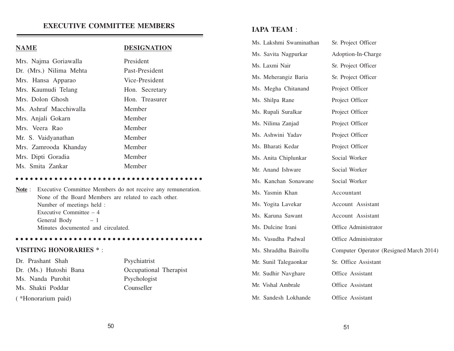# **EXECUTIVE COMMITTEE MEMBERS**

#### **NAME DESIGNATION**

Therapist

| Mrs. Najma Goriawalla   | President      |
|-------------------------|----------------|
| Dr. (Mrs.) Nilima Mehta | Past-President |
| Mrs. Hansa Apparao      | Vice-President |
| Mrs. Kaumudi Telang     | Hon. Secretary |
| Mrs. Dolon Ghosh        | Hon. Treasurer |
| Ms. Ashraf Macchiwalla  | Member         |
| Mrs. Anjali Gokarn      | Member         |
| Mrs. Veera Rao          | Member         |
| Mr. S. Vaidyanathan     | Member         |
| Mrs. Zamrooda Khanday   | Member         |
| Mrs. Dipti Goradia      | Member         |
| Ms. Smita Zankar        | Member         |

#### a a a a a a a a a a a a a a a a a a a a a a a a a a a a a a a a a a a a a a a

**Note** : Executive Committee Members do not receive any remuneration. None of the Board Members are related to each other. Number of meetings held : Executive Committee – 4 General Body  $-1$ Minutes documented and circulated.

<sup>a</sup> <sup>a</sup> <sup>a</sup> <sup>a</sup> <sup>a</sup> <sup>a</sup> <sup>a</sup> <sup>a</sup> <sup>a</sup> <sup>a</sup> <sup>a</sup> <sup>a</sup> <sup>a</sup> <sup>a</sup> <sup>a</sup> <sup>a</sup> <sup>a</sup> <sup>a</sup> <sup>a</sup> <sup>a</sup> <sup>a</sup> <sup>a</sup> <sup>a</sup> <sup>a</sup> <sup>a</sup> <sup>a</sup> <sup>a</sup> <sup>a</sup> <sup>a</sup> <sup>a</sup> <sup>a</sup> <sup>a</sup> <sup>a</sup> <sup>a</sup> <sup>a</sup> <sup>a</sup> <sup>a</sup> <sup>a</sup> <sup>a</sup>

#### **VISITING HONORARIES \*** :

| Dr. Prashant Shah      | Psychiatrist |
|------------------------|--------------|
| Dr. (Ms.) Hutoshi Bana | Occupational |
| Ms. Nanda Purohit      | Psychologist |
| Ms. Shakti Poddar      | Counseller   |
| (*Honorarium paid)     |              |

# **IAPA TEAM** :

| Ms. Lakshmi Swaminathan | Sr. Project Officer                     |
|-------------------------|-----------------------------------------|
| Ms. Savita Nagpurkar    | Adoption-In-Charge                      |
| Ms. Laxmi Nair          | Sr. Project Officer                     |
| Ms. Meherangiz Baria    | Sr. Project Officer                     |
| Ms. Megha Chitanand     | Project Officer                         |
| Ms. Shilpa Rane         | Project Officer                         |
| Ms. Rupali Suralkar     | Project Officer                         |
| Ms. Nilima Zanjad       | Project Officer                         |
| Ms. Ashwini Yadav       | Project Officer                         |
| Ms. Bharati Kedar       | Project Officer                         |
| Ms. Anita Chiplunkar    | Social Worker                           |
| Mr. Anand Ishware       | Social Worker                           |
| Ms. Kanchan Sonawane    | Social Worker                           |
| Ms. Yasmin Khan         | Accountant                              |
| Ms. Yogita Lavekar      | Account Assistant                       |
| Ms. Karuna Sawant       | Account Assistant                       |
| Ms. Dulcine Irani       | Office Administrator                    |
| Ms. Vasudha Padwal      | Office Administrator                    |
| Ms. Shraddha Bairollu   | Computer Operator (Resigned March 2014) |
| Mr. Sunil Talegaonkar   | Sr. Office Assistant                    |
| Mr. Sudhir Navghare     | Office Assistant                        |
| Mr. Vishal Ambrale      | Office Assistant                        |
| Mr. Sandesh Lokhande    | Office Assistant                        |